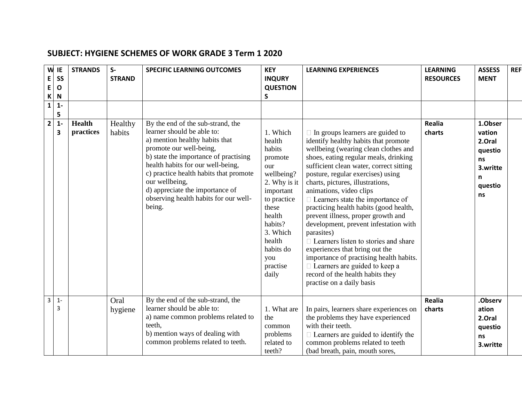| W<br>E<br>$\mathsf E$<br>$\mathbf K$<br>$\overline{1}$ | IE<br><b>SS</b><br>$\mathbf{o}$<br>N<br>$1 -$ | <b>STRANDS</b>             | $S-$<br><b>STRAND</b> | <b>SPECIFIC LEARNING OUTCOMES</b>                                                                                                                                                                                                                                                                                                                            | <b>KEY</b><br><b>INQURY</b><br><b>QUESTION</b><br>S                                                                                                                                                   | <b>LEARNING EXPERIENCES</b>                                                                                                                                                                                                                                                                                                                                                                                                                                                                                                                                                                                                                                                                                                            | <b>LEARNING</b><br><b>RESOURCES</b> | <b>ASSESS</b><br><b>MENT</b>                                                   | <b>REF</b> |
|--------------------------------------------------------|-----------------------------------------------|----------------------------|-----------------------|--------------------------------------------------------------------------------------------------------------------------------------------------------------------------------------------------------------------------------------------------------------------------------------------------------------------------------------------------------------|-------------------------------------------------------------------------------------------------------------------------------------------------------------------------------------------------------|----------------------------------------------------------------------------------------------------------------------------------------------------------------------------------------------------------------------------------------------------------------------------------------------------------------------------------------------------------------------------------------------------------------------------------------------------------------------------------------------------------------------------------------------------------------------------------------------------------------------------------------------------------------------------------------------------------------------------------------|-------------------------------------|--------------------------------------------------------------------------------|------------|
| $\mathbf{2}$                                           | 5<br>$1 -$<br>$\overline{\mathbf{3}}$         | <b>Health</b><br>practices | Healthy<br>habits     | By the end of the sub-strand, the<br>learner should be able to:<br>a) mention healthy habits that<br>promote our well-being,<br>b) state the importance of practising<br>health habits for our well-being,<br>c) practice health habits that promote<br>our wellbeing,<br>d) appreciate the importance of<br>observing health habits for our well-<br>being. | 1. Which<br>health<br>habits<br>promote<br>our<br>wellbeing?<br>2. Why is it<br>important<br>to practice<br>these<br>health<br>habits?<br>3. Which<br>health<br>habits do<br>you<br>practise<br>daily | $\Box$ In groups learners are guided to<br>identify healthy habits that promote<br>wellbeing (wearing clean clothes and<br>shoes, eating regular meals, drinking<br>sufficient clean water, correct sitting<br>posture, regular exercises) using<br>charts, pictures, illustrations,<br>animations, video clips<br>$\Box$ Learners state the importance of<br>practicing health habits (good health,<br>prevent illness, proper growth and<br>development, prevent infestation with<br>parasites)<br>$\Box$ Learners listen to stories and share<br>experiences that bring out the<br>importance of practising health habits.<br>$\Box$ Learners are guided to keep a<br>record of the health habits they<br>practise on a daily basis | Realia<br>charts                    | 1.Obser<br>vation<br>2.Oral<br>questio<br>ns<br>3.writte<br>n<br>questio<br>ns |            |
| $\overline{3}$                                         | $1 -$<br>3                                    |                            | Oral<br>hygiene       | By the end of the sub-strand, the<br>learner should be able to:<br>a) name common problems related to<br>teeth,<br>b) mention ways of dealing with<br>common problems related to teeth.                                                                                                                                                                      | 1. What are<br>the<br>common<br>problems<br>related to<br>teeth?                                                                                                                                      | In pairs, learners share experiences on<br>the problems they have experienced<br>with their teeth.<br>$\Box$ Learners are guided to identify the<br>common problems related to teeth<br>(bad breath, pain, mouth sores,                                                                                                                                                                                                                                                                                                                                                                                                                                                                                                                | Realia<br>charts                    | .Observ<br>ation<br>2.Oral<br>questio<br>ns<br>3.writte                        |            |

## **SUBJECT: HYGIENE SCHEMES OF WORK GRADE 3 Term 1 2020**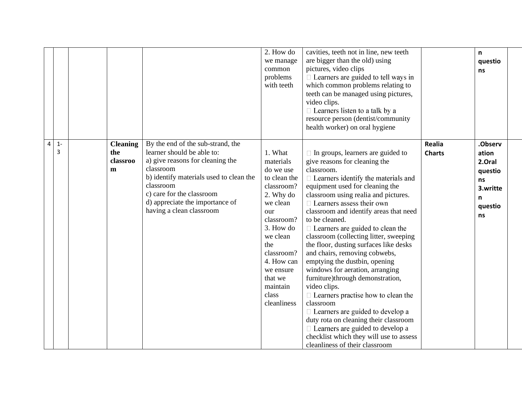|   |            |                                         |                                                                                                                                                                                                                                                                      | 2. How do<br>we manage<br>common<br>problems<br>with teeth                                                                                                                                                                            | cavities, teeth not in line, new teeth<br>are bigger than the old) using<br>pictures, video clips<br>$\Box$ Learners are guided to tell ways in<br>which common problems relating to<br>teeth can be managed using pictures,<br>video clips.<br>$\Box$ Learners listen to a talk by a<br>resource person (dentist/community<br>health worker) on oral hygiene                                                                                                                                                                                                                                                                                                                                                                                                                                                                                                                  |                         | n<br>questio<br>ns                                                            |
|---|------------|-----------------------------------------|----------------------------------------------------------------------------------------------------------------------------------------------------------------------------------------------------------------------------------------------------------------------|---------------------------------------------------------------------------------------------------------------------------------------------------------------------------------------------------------------------------------------|--------------------------------------------------------------------------------------------------------------------------------------------------------------------------------------------------------------------------------------------------------------------------------------------------------------------------------------------------------------------------------------------------------------------------------------------------------------------------------------------------------------------------------------------------------------------------------------------------------------------------------------------------------------------------------------------------------------------------------------------------------------------------------------------------------------------------------------------------------------------------------|-------------------------|-------------------------------------------------------------------------------|
| 4 | $1 -$<br>3 | <b>Cleaning</b><br>the<br>classroo<br>m | By the end of the sub-strand, the<br>learner should be able to:<br>a) give reasons for cleaning the<br>classroom<br>b) identify materials used to clean the<br>classroom<br>c) care for the classroom<br>d) appreciate the importance of<br>having a clean classroom | 1. What<br>materials<br>do we use<br>to clean the<br>classroom?<br>2. Why do<br>we clean<br>our<br>classroom?<br>3. How do<br>we clean<br>the<br>classroom?<br>4. How can<br>we ensure<br>that we<br>maintain<br>class<br>cleanliness | $\Box$ In groups, learners are guided to<br>give reasons for cleaning the<br>classroom.<br>$\Box$ Learners identify the materials and<br>equipment used for cleaning the<br>classroom using realia and pictures.<br>$\Box$ Learners assess their own<br>classroom and identify areas that need<br>to be cleaned.<br>$\Box$ Learners are guided to clean the<br>classroom (collecting litter, sweeping<br>the floor, dusting surfaces like desks<br>and chairs, removing cobwebs,<br>emptying the dustbin, opening<br>windows for aeration, arranging<br>furniture)through demonstration,<br>video clips.<br>$\Box$ Learners practise how to clean the<br>classroom<br>$\Box$ Learners are guided to develop a<br>duty rota on cleaning their classroom<br>$\Box$ Learners are guided to develop a<br>checklist which they will use to assess<br>cleanliness of their classroom | Realia<br><b>Charts</b> | .Observ<br>ation<br>2.Oral<br>questio<br>ns<br>3.writte<br>n<br>questio<br>ns |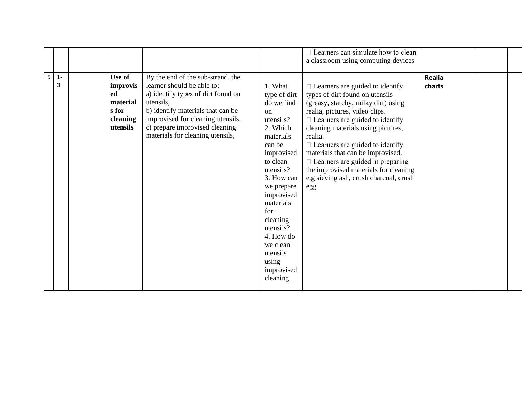|   |       |                |                                                                  |                            | Learners can simulate how to clean                                          |               |  |
|---|-------|----------------|------------------------------------------------------------------|----------------------------|-----------------------------------------------------------------------------|---------------|--|
|   |       |                |                                                                  |                            | a classroom using computing devices                                         |               |  |
| 5 | $1 -$ | Use of         | By the end of the sub-strand, the                                |                            |                                                                             | <b>Realia</b> |  |
|   | 3     | improvis<br>ed | learner should be able to:<br>a) identify types of dirt found on | 1. What                    | $\Box$ Learners are guided to identify                                      | charts        |  |
|   |       | material       | utensils,                                                        | type of dirt<br>do we find | types of dirt found on utensils<br>(greasy, starchy, milky dirt) using      |               |  |
|   |       | s for          | b) identify materials that can be                                | <sub>on</sub>              | realia, pictures, video clips.                                              |               |  |
|   |       | cleaning       | improvised for cleaning utensils,                                | utensils?                  | $\Box$ Learners are guided to identify                                      |               |  |
|   |       | utensils       | c) prepare improvised cleaning                                   | 2. Which                   | cleaning materials using pictures,                                          |               |  |
|   |       |                | materials for cleaning utensils,                                 | materials                  | realia.                                                                     |               |  |
|   |       |                |                                                                  | can be<br>improvised       | $\Box$ Learners are guided to identify<br>materials that can be improvised. |               |  |
|   |       |                |                                                                  | to clean                   | $\Box$ Learners are guided in preparing                                     |               |  |
|   |       |                |                                                                  | utensils?                  | the improvised materials for cleaning                                       |               |  |
|   |       |                |                                                                  | 3. How can                 | e.g sieving ash, crush charcoal, crush                                      |               |  |
|   |       |                |                                                                  | we prepare                 | egg                                                                         |               |  |
|   |       |                |                                                                  | improvised<br>materials    |                                                                             |               |  |
|   |       |                |                                                                  | for                        |                                                                             |               |  |
|   |       |                |                                                                  | cleaning                   |                                                                             |               |  |
|   |       |                |                                                                  | utensils?                  |                                                                             |               |  |
|   |       |                |                                                                  | 4. How do                  |                                                                             |               |  |
|   |       |                |                                                                  | we clean                   |                                                                             |               |  |
|   |       |                |                                                                  | utensils<br>using          |                                                                             |               |  |
|   |       |                |                                                                  | improvised                 |                                                                             |               |  |
|   |       |                |                                                                  | cleaning                   |                                                                             |               |  |
|   |       |                |                                                                  |                            |                                                                             |               |  |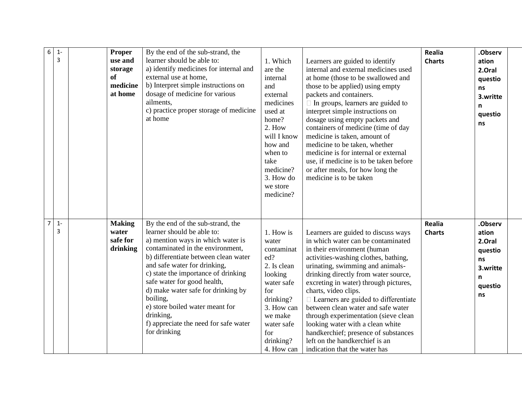| $\sqrt{6}$     | $1 -$<br>3 | <b>Proper</b><br>use and<br>storage<br><b>of</b><br>medicine<br>at home | By the end of the sub-strand, the<br>learner should be able to:<br>a) identify medicines for internal and<br>external use at home,<br>b) Interpret simple instructions on<br>dosage of medicine for various<br>ailments,<br>c) practice proper storage of medicine<br>at home                                                                                                                                                                     | 1. Which<br>are the<br>internal<br>and<br>external<br>medicines<br>used at<br>home?<br>2. How<br>will I know<br>how and<br>when to<br>take<br>medicine?<br>3. How do<br>we store<br>medicine? | Learners are guided to identify<br>internal and external medicines used<br>at home (those to be swallowed and<br>those to be applied) using empty<br>packets and containers.<br>$\Box$ In groups, learners are guided to<br>interpret simple instructions on<br>dosage using empty packets and<br>containers of medicine (time of day<br>medicine is taken, amount of<br>medicine to be taken, whether<br>medicine is for internal or external<br>use, if medicine is to be taken before<br>or after meals, for how long the<br>medicine is to be taken                   | Realia<br><b>Charts</b>        | .Observ<br>ation<br>2.Oral<br>questio<br>ns<br>3.writte<br>n<br>questio<br>ns |
|----------------|------------|-------------------------------------------------------------------------|---------------------------------------------------------------------------------------------------------------------------------------------------------------------------------------------------------------------------------------------------------------------------------------------------------------------------------------------------------------------------------------------------------------------------------------------------|-----------------------------------------------------------------------------------------------------------------------------------------------------------------------------------------------|---------------------------------------------------------------------------------------------------------------------------------------------------------------------------------------------------------------------------------------------------------------------------------------------------------------------------------------------------------------------------------------------------------------------------------------------------------------------------------------------------------------------------------------------------------------------------|--------------------------------|-------------------------------------------------------------------------------|
| $\overline{7}$ | $1 -$<br>3 | <b>Making</b><br>water<br>safe for<br>drinking                          | By the end of the sub-strand, the<br>learner should be able to:<br>a) mention ways in which water is<br>contaminated in the environment,<br>b) differentiate between clean water<br>and safe water for drinking,<br>c) state the importance of drinking<br>safe water for good health,<br>d) make water safe for drinking by<br>boiling,<br>e) store boiled water meant for<br>drinking,<br>f) appreciate the need for safe water<br>for drinking | 1. How is<br>water<br>contaminat<br>ed?<br>2. Is clean<br>looking<br>water safe<br>for<br>drinking?<br>3. How can<br>we make<br>water safe<br>for<br>drinking?<br>4. How can                  | Learners are guided to discuss ways<br>in which water can be contaminated<br>in their environment (human<br>activities-washing clothes, bathing,<br>urinating, swimming and animals-<br>drinking directly from water source,<br>excreting in water) through pictures,<br>charts, video clips.<br>$\Box$ Learners are guided to differentiate<br>between clean water and safe water<br>through experimentation (sieve clean<br>looking water with a clean white<br>handkerchief; presence of substances<br>left on the handkerchief is an<br>indication that the water has | <b>Realia</b><br><b>Charts</b> | .Observ<br>ation<br>2.Oral<br>questio<br>ns<br>3.writte<br>n<br>questio<br>ns |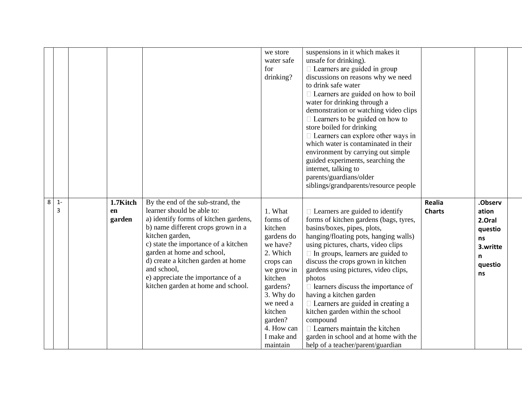|   |            |                          |                                                                                                                                                                                                                                                                                                                                                                         | we store<br>water safe<br>for<br>drinking?                                                                                                                                                                     | suspensions in it which makes it<br>unsafe for drinking).<br>$\Box$ Learners are guided in group<br>discussions on reasons why we need<br>to drink safe water<br>□ Learners are guided on how to boil<br>water for drinking through a<br>demonstration or watching video clips<br>$\Box$ Learners to be guided on how to<br>store boiled for drinking<br>$\Box$ Learners can explore other ways in<br>which water is contaminated in their<br>environment by carrying out simple<br>guided experiments, searching the<br>internet, talking to                                                                                 |                         |                                                                                      |  |
|---|------------|--------------------------|-------------------------------------------------------------------------------------------------------------------------------------------------------------------------------------------------------------------------------------------------------------------------------------------------------------------------------------------------------------------------|----------------------------------------------------------------------------------------------------------------------------------------------------------------------------------------------------------------|-------------------------------------------------------------------------------------------------------------------------------------------------------------------------------------------------------------------------------------------------------------------------------------------------------------------------------------------------------------------------------------------------------------------------------------------------------------------------------------------------------------------------------------------------------------------------------------------------------------------------------|-------------------------|--------------------------------------------------------------------------------------|--|
|   |            |                          |                                                                                                                                                                                                                                                                                                                                                                         |                                                                                                                                                                                                                | parents/guardians/older<br>siblings/grandparents/resource people                                                                                                                                                                                                                                                                                                                                                                                                                                                                                                                                                              |                         |                                                                                      |  |
| 8 | $1 -$<br>3 | 1.7Kitch<br>en<br>garden | By the end of the sub-strand, the<br>learner should be able to:<br>a) identify forms of kitchen gardens,<br>b) name different crops grown in a<br>kitchen garden,<br>c) state the importance of a kitchen<br>garden at home and school,<br>d) create a kitchen garden at home<br>and school,<br>e) appreciate the importance of a<br>kitchen garden at home and school. | 1. What<br>forms of<br>kitchen<br>gardens do<br>we have?<br>2. Which<br>crops can<br>we grow in<br>kitchen<br>gardens?<br>3. Why do<br>we need a<br>kitchen<br>garden?<br>4. How can<br>I make and<br>maintain | $\Box$ Learners are guided to identify<br>forms of kitchen gardens (bags, tyres,<br>basins/boxes, pipes, plots,<br>hanging/floating pots, hanging walls)<br>using pictures, charts, video clips<br>$\Box$ In groups, learners are guided to<br>discuss the crops grown in kitchen<br>gardens using pictures, video clips,<br>photos<br>$\Box$ learners discuss the importance of<br>having a kitchen garden<br>$\Box$ Learners are guided in creating a<br>kitchen garden within the school<br>compound<br>$\Box$ Learners maintain the kitchen<br>garden in school and at home with the<br>help of a teacher/parent/guardian | Realia<br><b>Charts</b> | .Observ<br>ation<br>2.Oral<br>questio<br><b>ns</b><br>3.writte<br>n<br>questio<br>ns |  |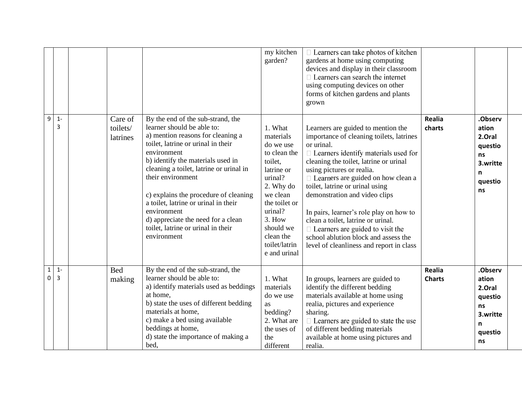|                          |            |                                 |                                                                                                                                                                                                                                                                                                                                                                                                                                                           | my kitchen<br>garden?                                                                                                                                                                                           | $\Box$ Learners can take photos of kitchen<br>gardens at home using computing<br>devices and display in their classroom<br>$\Box$ Learners can search the internet<br>using computing devices on other<br>forms of kitchen gardens and plants<br>grown                                                                                                                                                                                                                                                                                              |                         |                                                                               |
|--------------------------|------------|---------------------------------|-----------------------------------------------------------------------------------------------------------------------------------------------------------------------------------------------------------------------------------------------------------------------------------------------------------------------------------------------------------------------------------------------------------------------------------------------------------|-----------------------------------------------------------------------------------------------------------------------------------------------------------------------------------------------------------------|-----------------------------------------------------------------------------------------------------------------------------------------------------------------------------------------------------------------------------------------------------------------------------------------------------------------------------------------------------------------------------------------------------------------------------------------------------------------------------------------------------------------------------------------------------|-------------------------|-------------------------------------------------------------------------------|
| 9                        | $1 -$<br>3 | Care of<br>toilets/<br>latrines | By the end of the sub-strand, the<br>learner should be able to:<br>a) mention reasons for cleaning a<br>toilet, latrine or urinal in their<br>environment<br>b) identify the materials used in<br>cleaning a toilet, latrine or urinal in<br>their environment<br>c) explains the procedure of cleaning<br>a toilet, latrine or urinal in their<br>environment<br>d) appreciate the need for a clean<br>toilet, latrine or urinal in their<br>environment | 1. What<br>materials<br>do we use<br>to clean the<br>toilet,<br>latrine or<br>urinal?<br>2. Why do<br>we clean<br>the toilet or<br>urinal?<br>3. How<br>should we<br>clean the<br>toilet/latrin<br>e and urinal | Learners are guided to mention the<br>importance of cleaning toilets, latrines<br>or urinal.<br>$\Box$ Learners identify materials used for<br>cleaning the toilet, latrine or urinal<br>using pictures or realia.<br>$\Box$ Learners are guided on how clean a<br>toilet, latrine or urinal using<br>demonstration and video clips<br>In pairs, learner's role play on how to<br>clean a toilet, latrine or urinal.<br>$\Box$ Learners are guided to visit the<br>school ablution block and assess the<br>level of cleanliness and report in class | <b>Realia</b><br>charts | .Observ<br>ation<br>2.Oral<br>questio<br>ns<br>3.writte<br>n<br>questio<br>ns |
| $\mathbf 1$<br>$\pmb{0}$ | $1 -$<br>3 | <b>Bed</b><br>making            | By the end of the sub-strand, the<br>learner should be able to:<br>a) identify materials used as beddings<br>at home.<br>b) state the uses of different bedding<br>materials at home,<br>c) make a bed using available<br>beddings at home,<br>d) state the importance of making a<br>bed,                                                                                                                                                                | 1. What<br>materials<br>do we use<br><b>as</b><br>bedding?<br>2. What are<br>the uses of<br>the<br>different                                                                                                    | In groups, learners are guided to<br>identify the different bedding<br>materials available at home using<br>realia, pictures and experience<br>sharing.<br>$\Box$ Learners are guided to state the use<br>of different bedding materials<br>available at home using pictures and<br>realia.                                                                                                                                                                                                                                                         | Realia<br><b>Charts</b> | .Observ<br>ation<br>2.Oral<br>questio<br>ns<br>3.writte<br>n<br>questio<br>ns |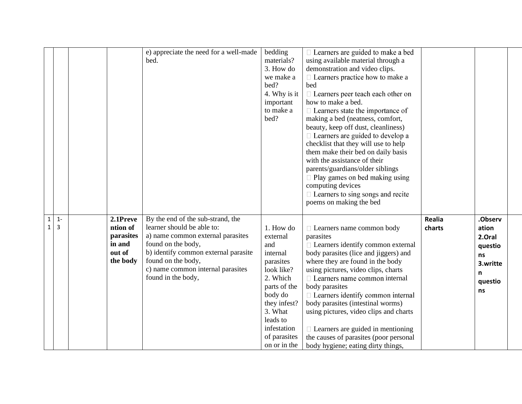|                   |                         |                                                                   | e) appreciate the need for a well-made<br>bed.                                                                                                                                                                                                      | bedding<br>materials?<br>3. How do<br>we make a<br>bed?<br>4. Why is it<br>important<br>to make a<br>bed?                                                                                        | □ Learners are guided to make a bed<br>using available material through a<br>demonstration and video clips.<br>$\Box$ Learners practice how to make a<br>bed<br>$\Box$ Learners peer teach each other on<br>how to make a bed.<br>$\Box$ Learners state the importance of<br>making a bed (neatness, comfort,<br>beauty, keep off dust, cleanliness)<br>$\Box$ Learners are guided to develop a<br>checklist that they will use to help<br>them make their bed on daily basis<br>with the assistance of their<br>parents/guardians/older siblings<br>$\Box$ Play games on bed making using<br>computing devices<br>$\Box$ Learners to sing songs and recite<br>poems on making the bed |                         |                                                                               |  |
|-------------------|-------------------------|-------------------------------------------------------------------|-----------------------------------------------------------------------------------------------------------------------------------------------------------------------------------------------------------------------------------------------------|--------------------------------------------------------------------------------------------------------------------------------------------------------------------------------------------------|----------------------------------------------------------------------------------------------------------------------------------------------------------------------------------------------------------------------------------------------------------------------------------------------------------------------------------------------------------------------------------------------------------------------------------------------------------------------------------------------------------------------------------------------------------------------------------------------------------------------------------------------------------------------------------------|-------------------------|-------------------------------------------------------------------------------|--|
| $\mathbf{1}$<br>1 | $1 -$<br>$\overline{3}$ | 2.1Preve<br>ntion of<br>parasites<br>in and<br>out of<br>the body | By the end of the sub-strand, the<br>learner should be able to:<br>a) name common external parasites<br>found on the body,<br>b) identify common external parasite<br>found on the body,<br>c) name common internal parasites<br>found in the body, | 1. How do<br>external<br>and<br>internal<br>parasites<br>look like?<br>2. Which<br>parts of the<br>body do<br>they infest?<br>3. What<br>leads to<br>infestation<br>of parasites<br>on or in the | □ Learners name common body<br>parasites<br>$\Box$ Learners identify common external<br>body parasites (lice and jiggers) and<br>where they are found in the body<br>using pictures, video clips, charts<br>□ Learners name common internal<br>body parasites<br>$\Box$ Learners identify common internal<br>body parasites (intestinal worms)<br>using pictures, video clips and charts<br>$\Box$ Learners are guided in mentioning<br>the causes of parasites (poor personal<br>body hygiene; eating dirty things,                                                                                                                                                                   | <b>Realia</b><br>charts | .Observ<br>ation<br>2.Oral<br>questio<br>ns<br>3.writte<br>n<br>questio<br>ns |  |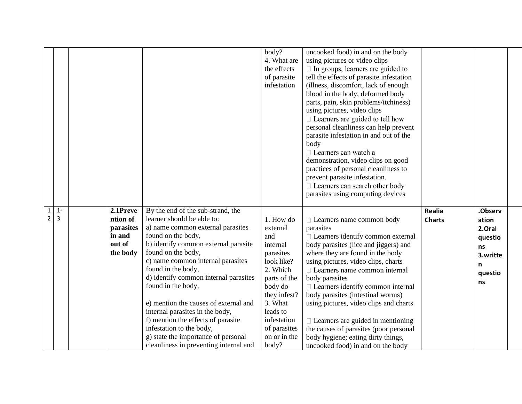|                                |                         |                                                                   |                                                                                                                                                                                                                                                                                                                                                                                                                                                                                                                                                   | body?<br>4. What are<br>the effects<br>of parasite<br>infestation                                                                                                                                         | uncooked food) in and on the body<br>using pictures or video clips<br>$\Box$ In groups, learners are guided to<br>tell the effects of parasite infestation<br>(illness, discomfort, lack of enough<br>blood in the body, deformed body<br>parts, pain, skin problems/itchiness)<br>using pictures, video clips<br>$\Box$ Learners are guided to tell how<br>personal cleanliness can help prevent<br>parasite infestation in and out of the<br>body<br>$\Box$ Learners can watch a<br>demonstration, video clips on good<br>practices of personal cleanliness to<br>prevent parasite infestation.<br>$\Box$ Learners can search other body<br>parasites using computing devices |                                |                                                                               |  |
|--------------------------------|-------------------------|-------------------------------------------------------------------|---------------------------------------------------------------------------------------------------------------------------------------------------------------------------------------------------------------------------------------------------------------------------------------------------------------------------------------------------------------------------------------------------------------------------------------------------------------------------------------------------------------------------------------------------|-----------------------------------------------------------------------------------------------------------------------------------------------------------------------------------------------------------|---------------------------------------------------------------------------------------------------------------------------------------------------------------------------------------------------------------------------------------------------------------------------------------------------------------------------------------------------------------------------------------------------------------------------------------------------------------------------------------------------------------------------------------------------------------------------------------------------------------------------------------------------------------------------------|--------------------------------|-------------------------------------------------------------------------------|--|
| $\mathbf{1}$<br>$\overline{2}$ | $1 -$<br>$\overline{3}$ | 2.1Preve<br>ntion of<br>parasites<br>in and<br>out of<br>the body | By the end of the sub-strand, the<br>learner should be able to:<br>a) name common external parasites<br>found on the body,<br>b) identify common external parasite<br>found on the body,<br>c) name common internal parasites<br>found in the body,<br>d) identify common internal parasites<br>found in the body,<br>e) mention the causes of external and<br>internal parasites in the body,<br>f) mention the effects of parasite<br>infestation to the body,<br>g) state the importance of personal<br>cleanliness in preventing internal and | 1. How do<br>external<br>and<br>internal<br>parasites<br>look like?<br>2. Which<br>parts of the<br>body do<br>they infest?<br>3. What<br>leads to<br>infestation<br>of parasites<br>on or in the<br>body? | □ Learners name common body<br>parasites<br>$\Box$ Learners identify common external<br>body parasites (lice and jiggers) and<br>where they are found in the body<br>using pictures, video clips, charts<br>□ Learners name common internal<br>body parasites<br>□ Learners identify common internal<br>body parasites (intestinal worms)<br>using pictures, video clips and charts<br>$\Box$ Learners are guided in mentioning<br>the causes of parasites (poor personal<br>body hygiene; eating dirty things,<br>uncooked food) in and on the body                                                                                                                            | <b>Realia</b><br><b>Charts</b> | .Observ<br>ation<br>2.Oral<br>questio<br>ns<br>3.writte<br>n<br>questio<br>ns |  |